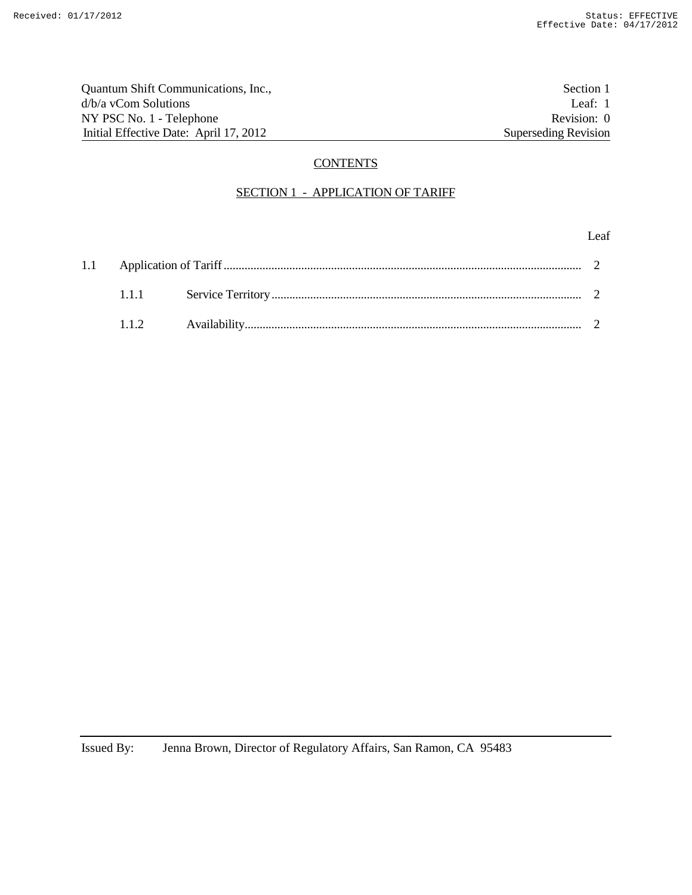Quantum Shift Communications, Inc.,<br>  $d/b/a$  vCom Solutions<br>
Leaf: 1 d/b/a vCom Solutions NY PSC No. 1 - Telephone Revision: 0 Initial Effective Date: April 17, 2012 Superseding Revision

# **CONTENTS**

## SECTION 1 - APPLICATION OF TARIFF

#### Leaf

| 111 |  |  |
|-----|--|--|
|     |  |  |

Issued By: Jenna Brown, Director of Regulatory Affairs, San Ramon, CA 95483